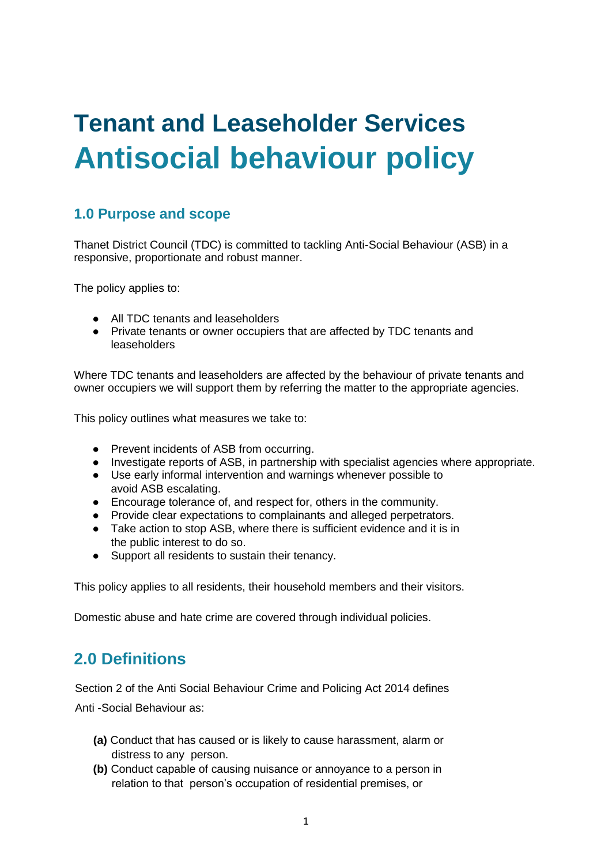# **Tenant and Leaseholder Services Antisocial behaviour policy**

### **1.0 Purpose and scope**

Thanet District Council (TDC) is committed to tackling Anti-Social Behaviour (ASB) in a responsive, proportionate and robust manner.

The policy applies to:

- All TDC tenants and leaseholders
- Private tenants or owner occupiers that are affected by TDC tenants and leaseholders

Where TDC tenants and leaseholders are affected by the behaviour of private tenants and owner occupiers we will support them by referring the matter to the appropriate agencies.

This policy outlines what measures we take to:

- Prevent incidents of ASB from occurring.
- Investigate reports of ASB, in partnership with specialist agencies where appropriate.
- Use early informal intervention and warnings whenever possible to avoid ASB escalating.
- Encourage tolerance of, and respect for, others in the community.
- Provide clear expectations to complainants and alleged perpetrators.
- Take action to stop ASB, where there is sufficient evidence and it is in the public interest to do so.
- Support all residents to sustain their tenancy.

This policy applies to all residents, their household members and their visitors.

Domestic abuse and hate crime are covered through individual policies.

### **2.0 Definitions**

Section 2 of the Anti Social Behaviour Crime and Policing Act 2014 defines Anti -Social Behaviour as:

- **(a)** Conduct that has caused or is likely to cause harassment, alarm or distress to any person.
- **(b)** Conduct capable of causing nuisance or annoyance to a person in relation to that person's occupation of residential premises, or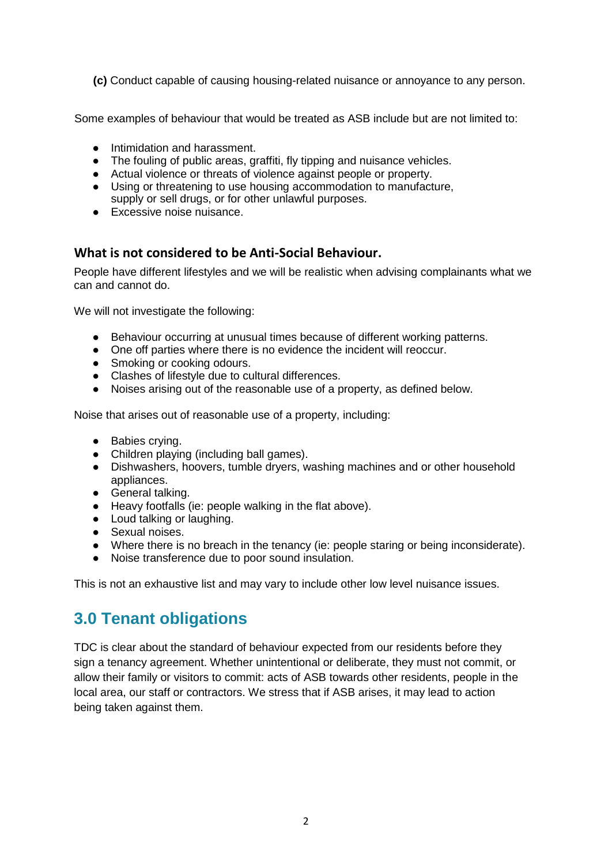**(c)** Conduct capable of causing housing-related nuisance or annoyance to any person.

Some examples of behaviour that would be treated as ASB include but are not limited to:

- Intimidation and harassment.
- The fouling of public areas, graffiti, fly tipping and nuisance vehicles.
- Actual violence or threats of violence against people or property.
- Using or threatening to use housing accommodation to manufacture, supply or sell drugs, or for other unlawful purposes.
- Excessive noise nuisance.

#### **What is not considered to be Anti-Social Behaviour.**

People have different lifestyles and we will be realistic when advising complainants what we can and cannot do.

We will not investigate the following:

- Behaviour occurring at unusual times because of different working patterns.
- One off parties where there is no evidence the incident will reoccur.
- Smoking or cooking odours.
- Clashes of lifestyle due to cultural differences.
- Noises arising out of the reasonable use of a property, as defined below.

Noise that arises out of reasonable use of a property, including:

- Babies crying.
- Children playing (including ball games).
- Dishwashers, hoovers, tumble dryers, washing machines and or other household appliances.
- General talking.
- Heavy footfalls (ie: people walking in the flat above).
- Loud talking or laughing.
- Sexual noises.
- Where there is no breach in the tenancy (ie: people staring or being inconsiderate).
- Noise transference due to poor sound insulation.

This is not an exhaustive list and may vary to include other low level nuisance issues.

### **3.0 Tenant obligations**

TDC is clear about the standard of behaviour expected from our residents before they sign a tenancy agreement. Whether unintentional or deliberate, they must not commit, or allow their family or visitors to commit: acts of ASB towards other residents, people in the local area, our staff or contractors. We stress that if ASB arises, it may lead to action being taken against them.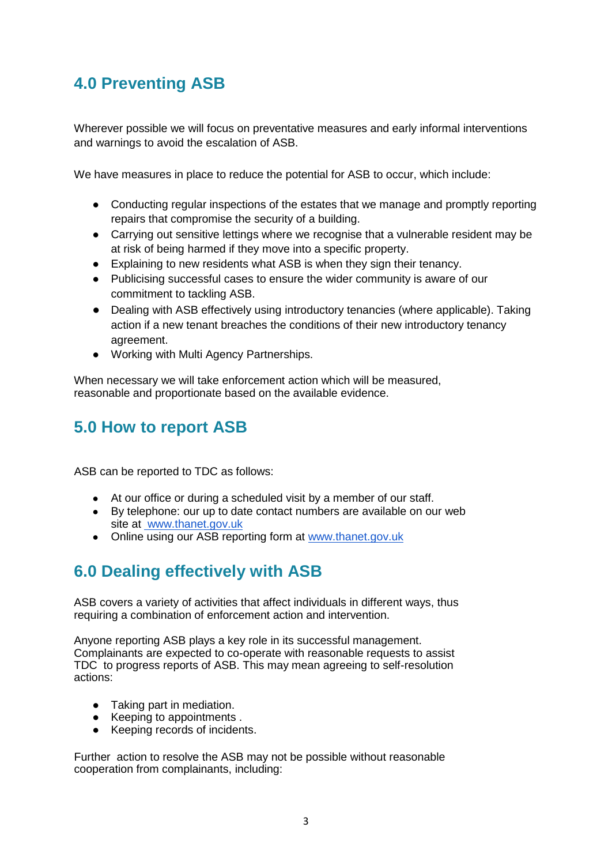# **4.0 Preventing ASB**

Wherever possible we will focus on preventative measures and early informal interventions and warnings to avoid the escalation of ASB.

We have measures in place to reduce the potential for ASB to occur, which include:

- Conducting regular inspections of the estates that we manage and promptly reporting repairs that compromise the security of a building.
- Carrying out sensitive lettings where we recognise that a vulnerable resident may be at risk of being harmed if they move into a specific property.
- Explaining to new residents what ASB is when they sign their tenancy.
- Publicising successful cases to ensure the wider community is aware of our commitment to tackling ASB.
- Dealing with ASB effectively using introductory tenancies (where applicable). Taking action if a new tenant breaches the conditions of their new introductory tenancy agreement.
- Working with Multi Agency Partnerships.

When necessary we will take enforcement action which will be measured, reasonable and proportionate based on the available evidence.

# **5.0 How to report ASB**

ASB can be reported to TDC as follows:

- At our office or during a scheduled visit by a member of our staff.
- By telephone: our up to date contact numbers are available on our web site at [www.thanet.gov.uk](http://www.thanet.gov.uk/)
- Online using our ASB reporting form at www.thanet.gov.uk

# **6.0 Dealing effectively with ASB**

ASB covers a variety of activities that affect individuals in different ways, thus requiring a combination of enforcement action and intervention.

Anyone reporting ASB plays a key role in its successful management. Complainants are expected to co-operate with reasonable requests to assist TDC to progress reports of ASB. This may mean agreeing to self-resolution actions:

- Taking part in mediation.
- Keeping to appointments.
- Keeping records of incidents.

Further action to resolve the ASB may not be possible without reasonable cooperation from complainants, including: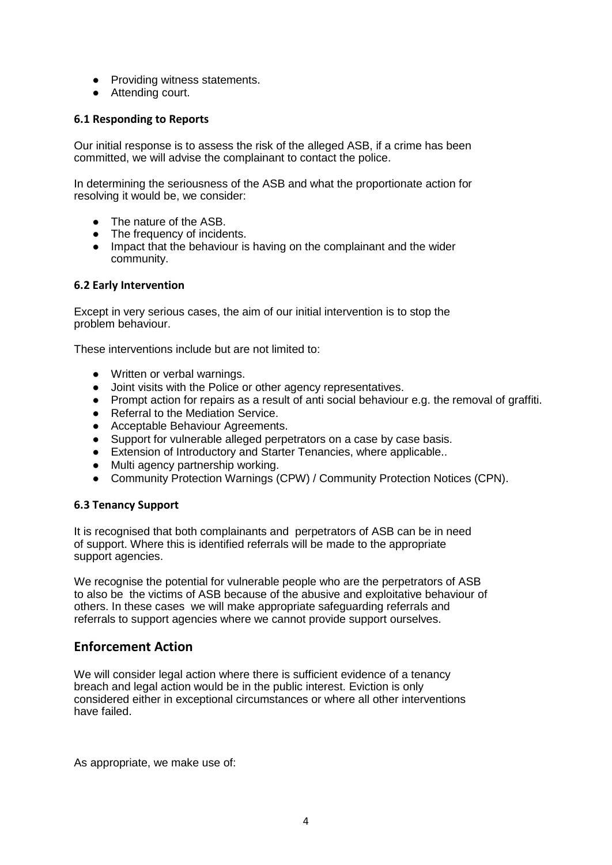- Providing witness statements.
- Attending court.

#### **6.1 Responding to Reports**

Our initial response is to assess the risk of the alleged ASB, if a crime has been committed, we will advise the complainant to contact the police.

In determining the seriousness of the ASB and what the proportionate action for resolving it would be, we consider:

- The nature of the ASB.
- The frequency of incidents.
- Impact that the behaviour is having on the complainant and the wider community.

#### **6.2 Early Intervention**

Except in very serious cases, the aim of our initial intervention is to stop the problem behaviour.

These interventions include but are not limited to:

- Written or verbal warnings.
- Joint visits with the Police or other agency representatives.
- Prompt action for repairs as a result of anti social behaviour e.g. the removal of graffiti.
- Referral to the Mediation Service.
- Acceptable Behaviour Agreements.
- Support for vulnerable alleged perpetrators on a case by case basis.
- Extension of Introductory and Starter Tenancies, where applicable..
- Multi agency partnership working.
- Community Protection Warnings (CPW) / Community Protection Notices (CPN).

#### **6.3 Tenancy Support**

It is recognised that both complainants and perpetrators of ASB can be in need of support. Where this is identified referrals will be made to the appropriate support agencies.

We recognise the potential for vulnerable people who are the perpetrators of ASB to also be the victims of ASB because of the abusive and exploitative behaviour of others. In these cases we will make appropriate safeguarding referrals and referrals to support agencies where we cannot provide support ourselves.

#### **Enforcement Action**

We will consider legal action where there is sufficient evidence of a tenancy breach and legal action would be in the public interest. Eviction is only considered either in exceptional circumstances or where all other interventions have failed.

As appropriate, we make use of: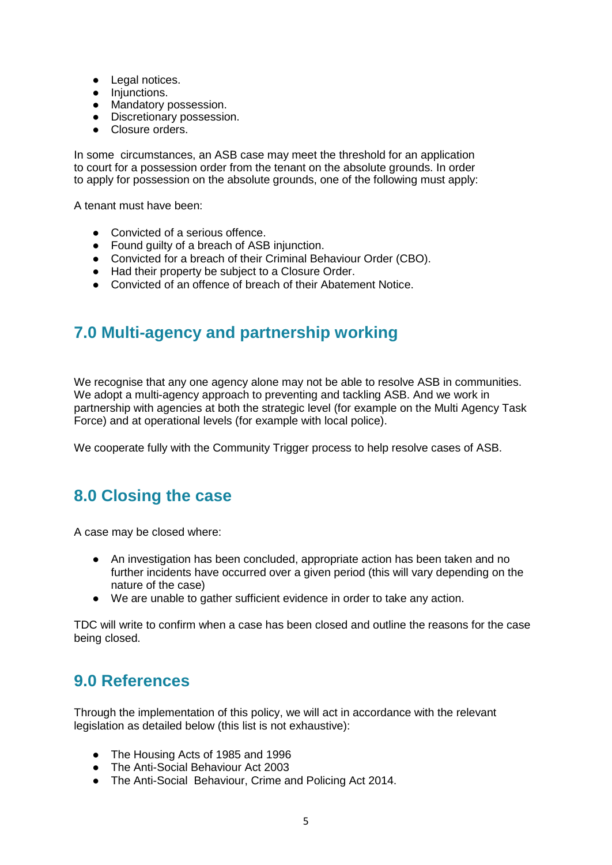- Legal notices.
- Injunctions.
- Mandatory possession.
- Discretionary possession.
- Closure orders.

In some circumstances, an ASB case may meet the threshold for an application to court for a possession order from the tenant on the absolute grounds. In order to apply for possession on the absolute grounds, one of the following must apply:

A tenant must have been:

- Convicted of a serious offence.
- Found guilty of a breach of ASB injunction.
- Convicted for a breach of their Criminal Behaviour Order (CBO).
- Had their property be subject to a Closure Order.
- Convicted of an offence of breach of their Abatement Notice.

## **7.0 Multi-agency and partnership working**

We recognise that any one agency alone may not be able to resolve ASB in communities. We adopt a multi-agency approach to preventing and tackling ASB. And we work in partnership with agencies at both the strategic level (for example on the Multi Agency Task Force) and at operational levels (for example with local police).

We cooperate fully with the Community Trigger process to help resolve cases of ASB.

## **8.0 Closing the case**

A case may be closed where:

- An investigation has been concluded, appropriate action has been taken and no further incidents have occurred over a given period (this will vary depending on the nature of the case)
- We are unable to gather sufficient evidence in order to take any action.

TDC will write to confirm when a case has been closed and outline the reasons for the case being closed.

## **9.0 References**

Through the implementation of this policy, we will act in accordance with the relevant legislation as detailed below (this list is not exhaustive):

- The Housing Acts of 1985 and 1996
- The Anti-Social Behaviour Act 2003
- The Anti-Social Behaviour, Crime and Policing Act 2014.